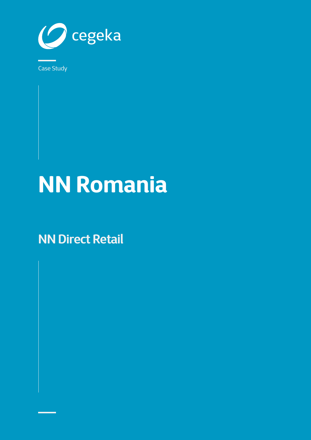

## **NN Romania**

**NN Direct Retail**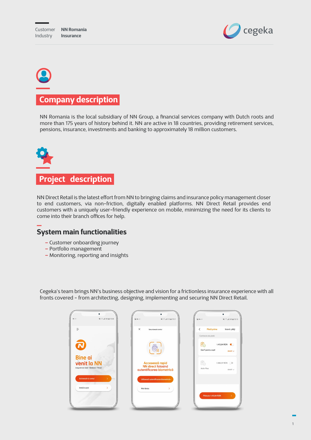

# **Company description**

NN Romania is the local subsidiary of NN Group, a financial services company with Dutch roots and more than 175 years of history behind it. NN are active in 18 countries, providing retirement services, pensions, insurance, investments and banking to approximately 18 million customers.



NN Direct Retail is the latest effort from NN to bringing claims and insurance policy management closer to end customers, via non-friction, digitally enabled platforms. NN Direct Retail provides end customers with a uniquely user-friendly experience on mobile, minimizing the need for its clients to come into their branch offices for help.

#### **– System main functionalities**

- Customer onboarding journey
- Portfolio management
- Monitoring, reporting and insights

Cegeka's team brings NN's business objective and vision for a frictionless insurance experience with all fronts covered - from architecting, designing, implementing and securing NN Direct Retail.

| 44 % 2 4 58% @ 15:08<br>$O_T \times$                                          | WI % al 51% @ 15:21<br>$\Box$ or $\pi$                                    | $\Box$ or $\pi$<br>¥1 % al 54% ii 15:15                                    |
|-------------------------------------------------------------------------------|---------------------------------------------------------------------------|----------------------------------------------------------------------------|
| $\equiv$                                                                      | X<br>Securizegză contul                                                   | $\langle$<br>Plată prime<br>Istoric plăți                                  |
|                                                                               |                                                                           | Contracte de plată<br>Ëo<br>1.413,84 RON<br>GenT pentru copil<br>detalii v |
| <b>Bine ai</b><br>49<br>venit la NN<br>Asigurări de viață · Sănătate · Pensii | Accesează rapid<br><b>NN</b> direct folosind<br>autentificarea biometrică | Êo<br>1.588,57 RON<br><b>Activ Plus</b><br>detalii v                       |
| Activează-ți contul<br>$\mathbf{\bar{}}$                                      | Utilizează autentificarea biometrică                                      |                                                                            |
| Intră în cont<br>$\mathbf{\bar{}}$                                            | Mai târziu<br>⋋                                                           | Plätește 1.413,84 RON                                                      |